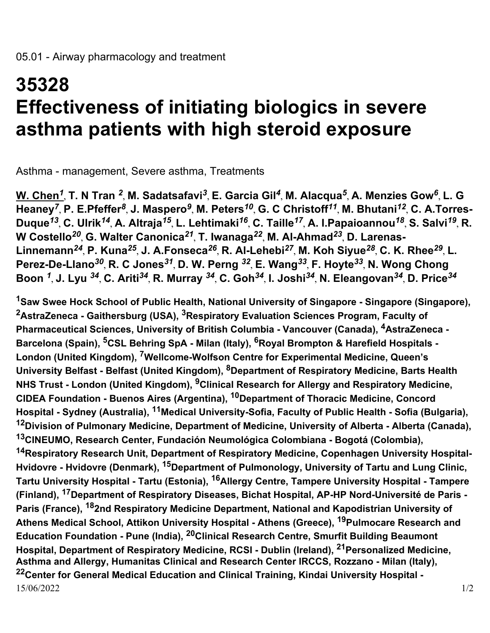## **35328 Effectiveness of initiating biologics in severe asthma patients with high steroid exposure**

Asthma - management, Severe asthma, Treatments

**W. Chen***<sup>1</sup>* , **T. N Tran** *<sup>2</sup>* , **M. Sadatsafavi***<sup>3</sup>* , **E. Garcia Gil***<sup>4</sup>* , **M. Alacqua***<sup>5</sup>* , **A. Menzies Gow***<sup>6</sup>* , **L. G Heaney***<sup>7</sup>* , **P. E.Pfeffer***<sup>8</sup>* , **J. Maspero***<sup>9</sup>* , **M. Peters***<sup>10</sup>* , **G. C Christoff***<sup>11</sup>* , **M. Bhutani***<sup>12</sup>* , **C. A.Torres-Duque***<sup>13</sup>* , **C. Ulrik***<sup>14</sup>* , **A. Altraja***<sup>15</sup>* , **L. Lehtimaki***<sup>16</sup>* , **C. Taille***<sup>17</sup>* , **A. I.Papaioannou***<sup>18</sup>* , **S. Salvi***<sup>19</sup>* , **R. W Costello***<sup>20</sup>* , **G. Walter Canonica***<sup>21</sup>* , **T. Iwanaga***<sup>22</sup>* , **M. Al-Ahmad***<sup>23</sup>* , **D. Larenas-Linnemann***<sup>24</sup>* , **P. Kuna***<sup>25</sup>* , **J. A.Fonseca***<sup>26</sup>* , **R. Al-Lehebi***<sup>27</sup>* , **M. Koh Siyue***<sup>28</sup>* , **C. K. Rhee***<sup>29</sup>* , **L. Perez-De-Llano***<sup>30</sup>* , **R. C Jones***<sup>31</sup>* , **D. W. Perng** *<sup>32</sup>* , **E. Wang***<sup>33</sup>* , **F. Hoyte***<sup>33</sup>* , **N. Wong Chong Boon** *<sup>1</sup>* , **J. Lyu** *<sup>34</sup>* , **C. Ariti***<sup>34</sup>* , **R. Murray** *<sup>34</sup>* , **C. Goh***<sup>34</sup>* , **I. Joshi***<sup>34</sup>* , **N. Eleangovan***<sup>34</sup>* , **D. Price***<sup>34</sup>*

15/06/2022 1/2 **<sup>1</sup>Saw Swee Hock School of Public Health, National University of Singapore - Singapore (Singapore), <sup>2</sup>AstraZeneca - Gaithersburg (USA), 3Respiratory Evaluation Sciences Program, Faculty of Pharmaceutical Sciences, University of British Columbia - Vancouver (Canada), 4AstraZeneca - Barcelona (Spain), 5CSL Behring SpA - Milan (Italy), 6Royal Brompton & Harefield Hospitals - London (United Kingdom), 7Wellcome-Wolfson Centre for Experimental Medicine, Queen's University Belfast - Belfast (United Kingdom), 8Department of Respiratory Medicine, Barts Health NHS Trust - London (United Kingdom), 9Clinical Research for Allergy and Respiratory Medicine, CIDEA Foundation - Buenos Aires (Argentina), 10Department of Thoracic Medicine, Concord Hospital - Sydney (Australia), 11Medical University-Sofia, Faculty of Public Health - Sofia (Bulgaria), <sup>12</sup>Division of Pulmonary Medicine, Department of Medicine, University of Alberta - Alberta (Canada), <sup>13</sup>CINEUMO, Research Center, Fundación Neumológica Colombiana - Bogotá (Colombia), <sup>14</sup>Respiratory Research Unit, Department of Respiratory Medicine, Copenhagen University Hospital-Hvidovre - Hvidovre (Denmark), 15Department of Pulmonology, University of Tartu and Lung Clinic, Tartu University Hospital - Tartu (Estonia), 16Allergy Centre, Tampere University Hospital - Tampere (Finland), 17Department of Respiratory Diseases, Bichat Hospital, AP-HP Nord-Université de Paris - Paris (France), 182nd Respiratory Medicine Department, National and Kapodistrian University of Athens Medical School, Attikon University Hospital - Athens (Greece), 19Pulmocare Research and Education Foundation - Pune (India), 20Clinical Research Centre, Smurfit Building Beaumont Hospital, Department of Respiratory Medicine, RCSI - Dublin (Ireland), 21Personalized Medicine, Asthma and Allergy, Humanitas Clinical and Research Center IRCCS, Rozzano - Milan (Italy), <sup>22</sup>Center for General Medical Education and Clinical Training, Kindai University Hospital -**